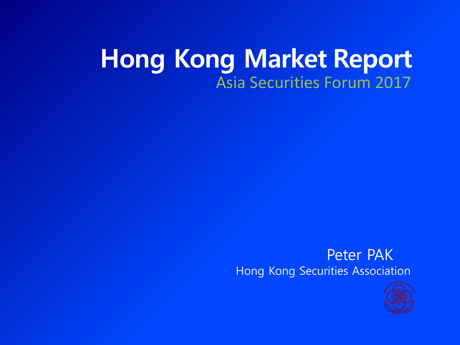#### **Hong Kong Market Report** Asia Securities Forum 2017

#### Peter PAK Hong Kong Securities Association

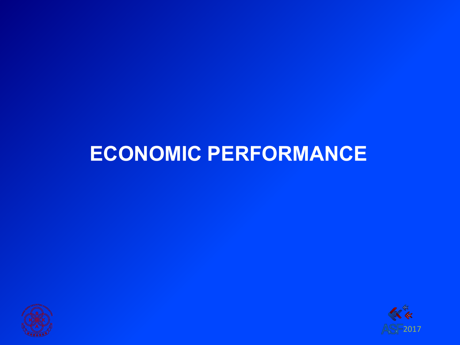



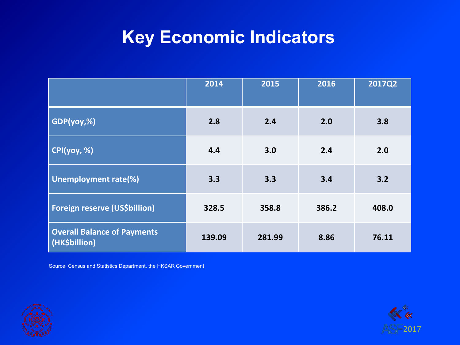#### **Key Economic Indicators**

|                                                     | 2014   | 2015   | 2016  | <b>2017Q2</b> |
|-----------------------------------------------------|--------|--------|-------|---------------|
| GDP(yoy,%)                                          | 2.8    | 2.4    | 2.0   | 3.8           |
| CPI(yoy, %)                                         | 4.4    | 3.0    | 2.4   | 2.0           |
| <b>Unemployment rate(%)</b>                         | 3.3    | 3.3    | 3.4   | 3.2           |
| Foreign reserve (US\$billion)                       | 328.5  | 358.8  | 386.2 | 408.0         |
| <b>Overall Balance of Payments</b><br>(HK\$billion) | 139.09 | 281.99 | 8.86  | 76.11         |

Source: Census and Statistics Department, the HKSAR Government



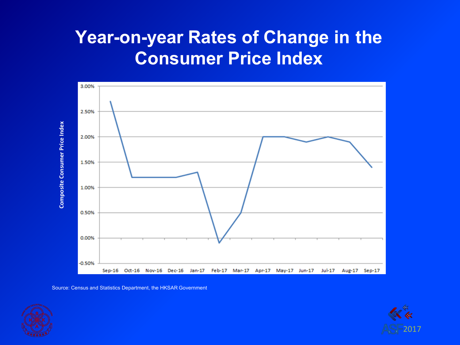#### **Year-on-year Rates of Change in the Consumer Price Index**



Source: Census and Statistics Department, the HKSAR Government



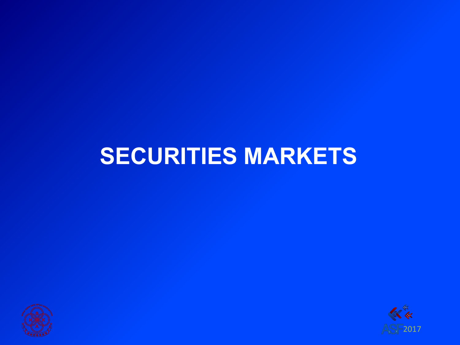## **SECURITIES MARKETS**



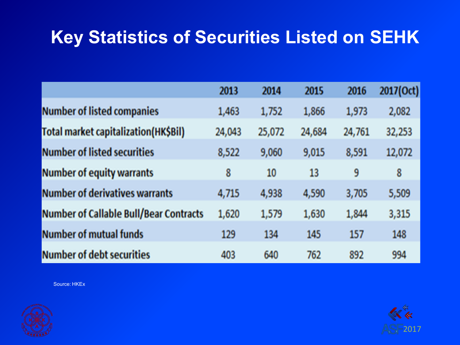#### **Key Statistics of Securities Listed on SEHK**

|                                               | 2013   | 2014   | 2015   | 2016   | 2017(Oct) |
|-----------------------------------------------|--------|--------|--------|--------|-----------|
| <b>Number of listed companies</b>             | 1,463  | 1,752  | 1,866  | 1,973  | 2,082     |
| <b>Total market capitalization(HK\$Bil)</b>   | 24,043 | 25,072 | 24,684 | 24,761 | 32,253    |
| <b>Number of listed securities</b>            | 8,522  | 9,060  | 9,015  | 8,591  | 12,072    |
| <b>Number of equity warrants</b>              | 8      | 10     | 13     | 9      | 8         |
| <b>Number of derivatives warrants</b>         | 4,715  | 4,938  | 4,590  | 3,705  | 5,509     |
| <b>Number of Callable Bull/Bear Contracts</b> | 1,620  | 1,579  | 1,630  | 1,844  | 3,315     |
| <b>Number of mutual funds</b>                 | 129    | 134    | 145    | 157    | 148       |
| <b>Number of debt securities</b>              | 403    | 640    | 762    | 892    | 994       |



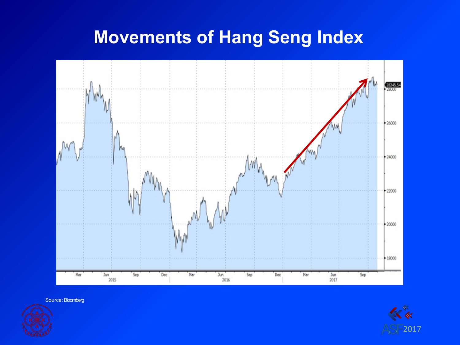#### **Movements of Hang Seng Index**



Source: Bloomberg



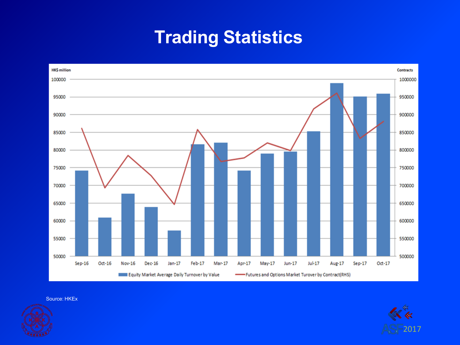#### **Trading Statistics**





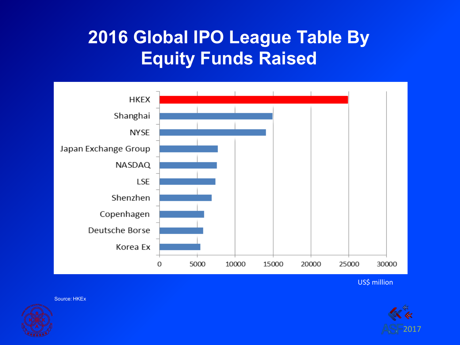#### **2016 Global IPO League Table By Equity Funds Raised**



US\$ million

2017

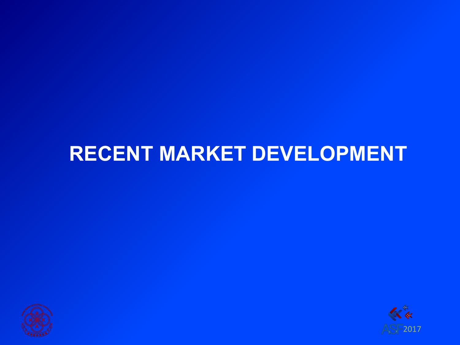#### **RECENT MARKET DEVELOPMENT**



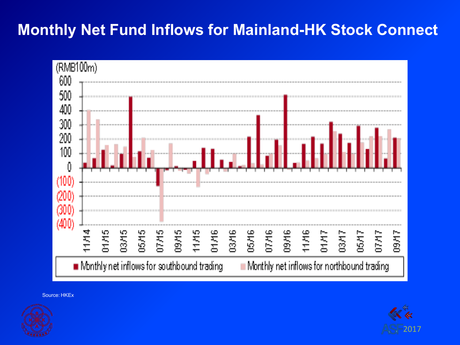#### **Monthly Net Fund Inflows for Mainland-HK Stock Connect**





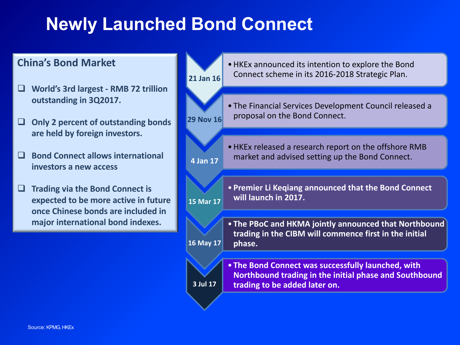#### **Newly Launched Bond Connect**

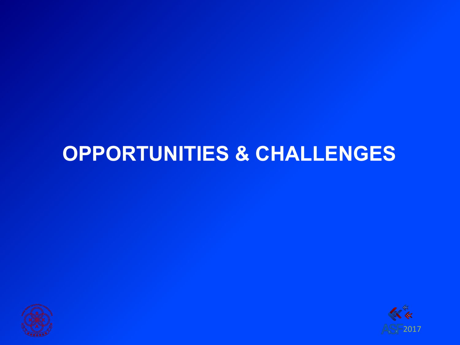



### **OPPORTUNITIES & CHALLENGES**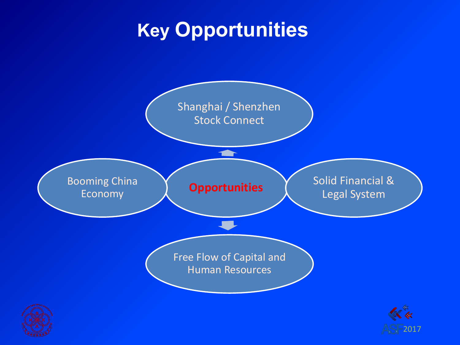## **Key Opportunities**

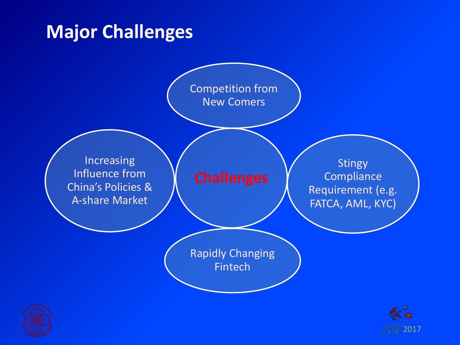#### **Major Challenges**